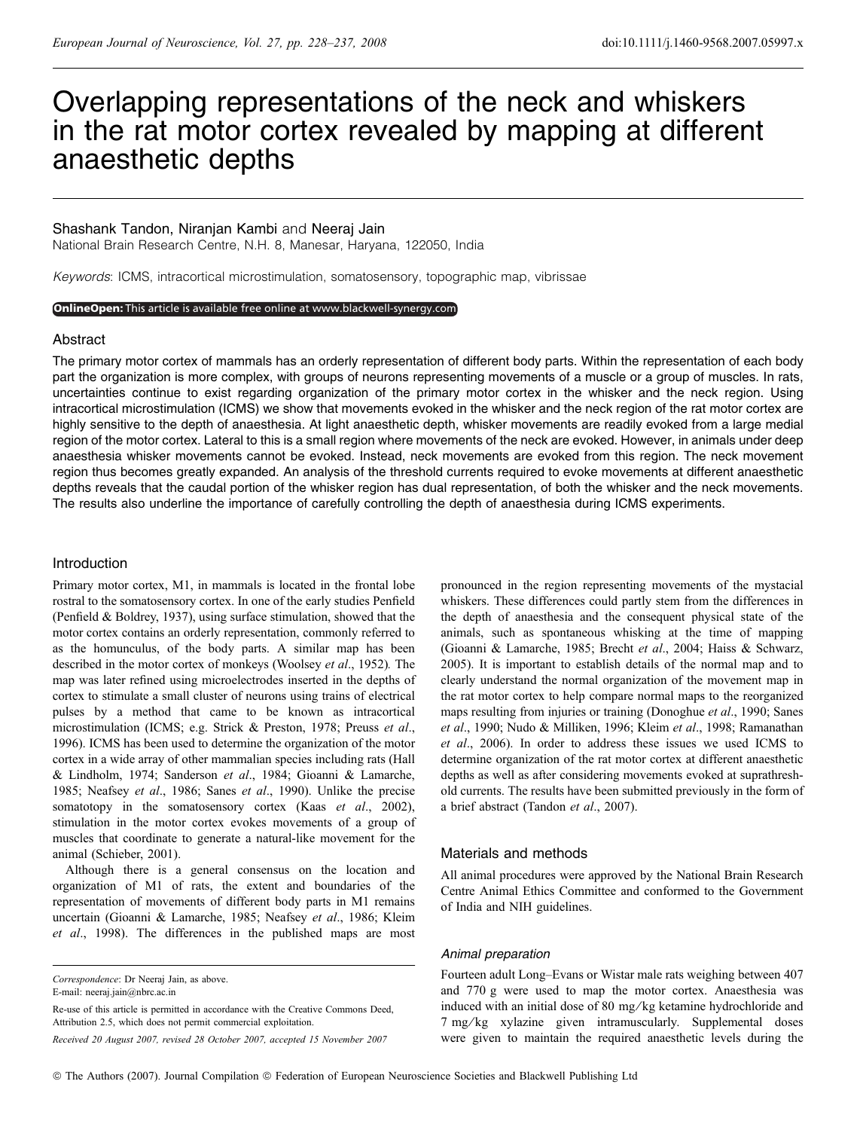# Overlapping representations of the neck and whiskers in the rat motor cortex revealed by mapping at different anaesthetic depths

# Shashank Tandon, Niranjan Kambi and Neeraj Jain

National Brain Research Centre, N.H. 8, Manesar, Haryana, 122050, India

Keywords: ICMS, intracortical microstimulation, somatosensory, topographic map, vibrissae

#### OnlineOpen: This article is available free online at www.blackwell-synergy.com

## Abstract

The primary motor cortex of mammals has an orderly representation of different body parts. Within the representation of each body part the organization is more complex, with groups of neurons representing movements of a muscle or a group of muscles. In rats, uncertainties continue to exist regarding organization of the primary motor cortex in the whisker and the neck region. Using intracortical microstimulation (ICMS) we show that movements evoked in the whisker and the neck region of the rat motor cortex are highly sensitive to the depth of anaesthesia. At light anaesthetic depth, whisker movements are readily evoked from a large medial region of the motor cortex. Lateral to this is a small region where movements of the neck are evoked. However, in animals under deep anaesthesia whisker movements cannot be evoked. Instead, neck movements are evoked from this region. The neck movement region thus becomes greatly expanded. An analysis of the threshold currents required to evoke movements at different anaesthetic depths reveals that the caudal portion of the whisker region has dual representation, of both the whisker and the neck movements. The results also underline the importance of carefully controlling the depth of anaesthesia during ICMS experiments.

## Introduction

Primary motor cortex, M1, in mammals is located in the frontal lobe rostral to the somatosensory cortex. In one of the early studies Penfield (Penfield & Boldrey, 1937), using surface stimulation, showed that the motor cortex contains an orderly representation, commonly referred to as the homunculus, of the body parts. A similar map has been described in the motor cortex of monkeys (Woolsey et al., 1952). The map was later refined using microelectrodes inserted in the depths of cortex to stimulate a small cluster of neurons using trains of electrical pulses by a method that came to be known as intracortical microstimulation (ICMS; e.g. Strick & Preston, 1978; Preuss et al., 1996). ICMS has been used to determine the organization of the motor cortex in a wide array of other mammalian species including rats (Hall & Lindholm, 1974; Sanderson et al., 1984; Gioanni & Lamarche, 1985; Neafsey et al., 1986; Sanes et al., 1990). Unlike the precise somatotopy in the somatosensory cortex (Kaas et al., 2002), stimulation in the motor cortex evokes movements of a group of muscles that coordinate to generate a natural-like movement for the animal (Schieber, 2001).

Although there is a general consensus on the location and organization of M1 of rats, the extent and boundaries of the representation of movements of different body parts in M1 remains uncertain (Gioanni & Lamarche, 1985; Neafsey et al., 1986; Kleim et al., 1998). The differences in the published maps are most

E-mail: neeraj.jain@nbrc.ac.in

Re-use of this article is permitted in accordance with the Creative Commons Deed, Attribution 2.5, which does not permit commercial exploitation.

Received 20 August 2007, revised 28 October 2007, accepted 15 November 2007

pronounced in the region representing movements of the mystacial whiskers. These differences could partly stem from the differences in the depth of anaesthesia and the consequent physical state of the animals, such as spontaneous whisking at the time of mapping (Gioanni & Lamarche, 1985; Brecht et al., 2004; Haiss & Schwarz, 2005). It is important to establish details of the normal map and to clearly understand the normal organization of the movement map in the rat motor cortex to help compare normal maps to the reorganized maps resulting from injuries or training (Donoghue et al., 1990; Sanes et al., 1990; Nudo & Milliken, 1996; Kleim et al., 1998; Ramanathan et al., 2006). In order to address these issues we used ICMS to determine organization of the rat motor cortex at different anaesthetic depths as well as after considering movements evoked at suprathreshold currents. The results have been submitted previously in the form of a brief abstract (Tandon et al., 2007).

## Materials and methods

All animal procedures were approved by the National Brain Research Centre Animal Ethics Committee and conformed to the Government of India and NIH guidelines.

## Animal preparation

Fourteen adult Long–Evans or Wistar male rats weighing between 407 and 770 g were used to map the motor cortex. Anaesthesia was induced with an initial dose of 80 mg/kg ketamine hydrochloride and 7 mg/kg xylazine given intramuscularly. Supplemental doses were given to maintain the required anaesthetic levels during the

Correspondence: Dr Neeraj Jain, as above.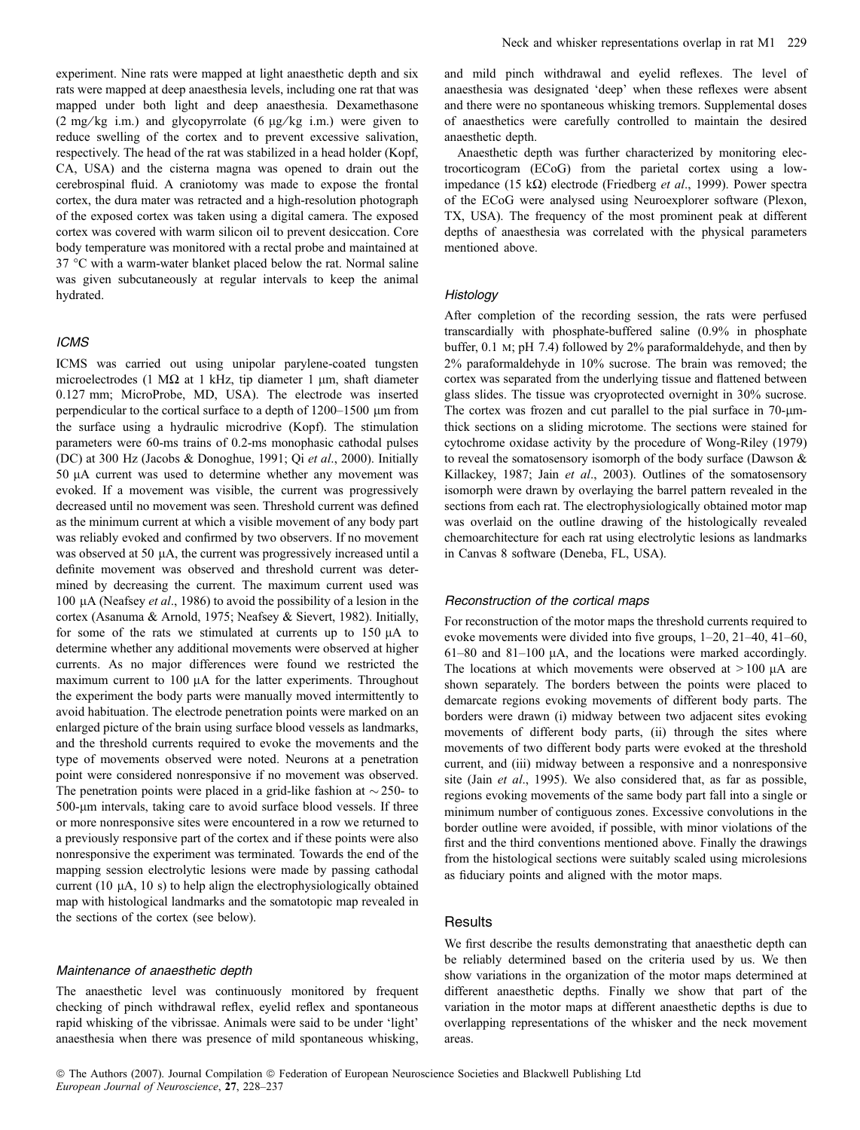experiment. Nine rats were mapped at light anaesthetic depth and six rats were mapped at deep anaesthesia levels, including one rat that was mapped under both light and deep anaesthesia. Dexamethasone (2 mg/kg i.m.) and glycopyrrolate (6  $\mu$ g/kg i.m.) were given to reduce swelling of the cortex and to prevent excessive salivation, respectively. The head of the rat was stabilized in a head holder (Kopf, CA, USA) and the cisterna magna was opened to drain out the cerebrospinal fluid. A craniotomy was made to expose the frontal cortex, the dura mater was retracted and a high-resolution photograph of the exposed cortex was taken using a digital camera. The exposed cortex was covered with warm silicon oil to prevent desiccation. Core body temperature was monitored with a rectal probe and maintained at 37 °C with a warm-water blanket placed below the rat. Normal saline was given subcutaneously at regular intervals to keep the animal hydrated.

## ICMS

ICMS was carried out using unipolar parylene-coated tungsten microelectrodes (1 M $\Omega$  at 1 kHz, tip diameter 1 µm, shaft diameter 0.127 mm; MicroProbe, MD, USA). The electrode was inserted perpendicular to the cortical surface to a depth of  $1200-1500 \mu m$  from the surface using a hydraulic microdrive (Kopf). The stimulation parameters were 60-ms trains of 0.2-ms monophasic cathodal pulses (DC) at 300 Hz (Jacobs & Donoghue, 1991; Qi et al., 2000). Initially 50  $\mu$ A current was used to determine whether any movement was evoked. If a movement was visible, the current was progressively decreased until no movement was seen. Threshold current was defined as the minimum current at which a visible movement of any body part was reliably evoked and confirmed by two observers. If no movement was observed at 50 µA, the current was progressively increased until a definite movement was observed and threshold current was determined by decreasing the current. The maximum current used was 100  $\mu$ A (Neafsey et al., 1986) to avoid the possibility of a lesion in the cortex (Asanuma & Arnold, 1975; Neafsey & Sievert, 1982). Initially, for some of the rats we stimulated at currents up to  $150 \mu A$  to determine whether any additional movements were observed at higher currents. As no major differences were found we restricted the maximum current to 100 µA for the latter experiments. Throughout the experiment the body parts were manually moved intermittently to avoid habituation. The electrode penetration points were marked on an enlarged picture of the brain using surface blood vessels as landmarks, and the threshold currents required to evoke the movements and the type of movements observed were noted. Neurons at a penetration point were considered nonresponsive if no movement was observed. The penetration points were placed in a grid-like fashion at  $\sim$  250- to 500-lm intervals, taking care to avoid surface blood vessels. If three or more nonresponsive sites were encountered in a row we returned to a previously responsive part of the cortex and if these points were also nonresponsive the experiment was terminated. Towards the end of the mapping session electrolytic lesions were made by passing cathodal current  $(10 \mu A, 10 \text{ s})$  to help align the electrophysiologically obtained map with histological landmarks and the somatotopic map revealed in the sections of the cortex (see below).

#### Maintenance of anaesthetic depth

The anaesthetic level was continuously monitored by frequent checking of pinch withdrawal reflex, eyelid reflex and spontaneous rapid whisking of the vibrissae. Animals were said to be under 'light' anaesthesia when there was presence of mild spontaneous whisking,

and mild pinch withdrawal and eyelid reflexes. The level of anaesthesia was designated 'deep' when these reflexes were absent and there were no spontaneous whisking tremors. Supplemental doses of anaesthetics were carefully controlled to maintain the desired anaesthetic depth.

Anaesthetic depth was further characterized by monitoring electrocorticogram (ECoG) from the parietal cortex using a lowimpedance (15 k $\Omega$ ) electrode (Friedberg *et al.*, 1999). Power spectra of the ECoG were analysed using Neuroexplorer software (Plexon, TX, USA). The frequency of the most prominent peak at different depths of anaesthesia was correlated with the physical parameters mentioned above.

#### **Histology**

After completion of the recording session, the rats were perfused transcardially with phosphate-buffered saline (0.9% in phosphate buffer, 0.1 m; pH 7.4) followed by 2% paraformaldehyde, and then by 2% paraformaldehyde in 10% sucrose. The brain was removed; the cortex was separated from the underlying tissue and flattened between glass slides. The tissue was cryoprotected overnight in 30% sucrose. The cortex was frozen and cut parallel to the pial surface in  $70$ - $\mu$ mthick sections on a sliding microtome. The sections were stained for cytochrome oxidase activity by the procedure of Wong-Riley (1979) to reveal the somatosensory isomorph of the body surface (Dawson & Killackey, 1987; Jain et al., 2003). Outlines of the somatosensory isomorph were drawn by overlaying the barrel pattern revealed in the sections from each rat. The electrophysiologically obtained motor map was overlaid on the outline drawing of the histologically revealed chemoarchitecture for each rat using electrolytic lesions as landmarks in Canvas 8 software (Deneba, FL, USA).

## Reconstruction of the cortical maps

For reconstruction of the motor maps the threshold currents required to evoke movements were divided into five groups, 1–20, 21–40, 41–60,  $61-80$  and  $81-100$   $\mu$ A, and the locations were marked accordingly. The locations at which movements were observed at  $>100$  µA are shown separately. The borders between the points were placed to demarcate regions evoking movements of different body parts. The borders were drawn (i) midway between two adjacent sites evoking movements of different body parts, (ii) through the sites where movements of two different body parts were evoked at the threshold current, and (iii) midway between a responsive and a nonresponsive site (Jain et al., 1995). We also considered that, as far as possible, regions evoking movements of the same body part fall into a single or minimum number of contiguous zones. Excessive convolutions in the border outline were avoided, if possible, with minor violations of the first and the third conventions mentioned above. Finally the drawings from the histological sections were suitably scaled using microlesions as fiduciary points and aligned with the motor maps.

# **Results**

We first describe the results demonstrating that anaesthetic depth can be reliably determined based on the criteria used by us. We then show variations in the organization of the motor maps determined at different anaesthetic depths. Finally we show that part of the variation in the motor maps at different anaesthetic depths is due to overlapping representations of the whisker and the neck movement areas.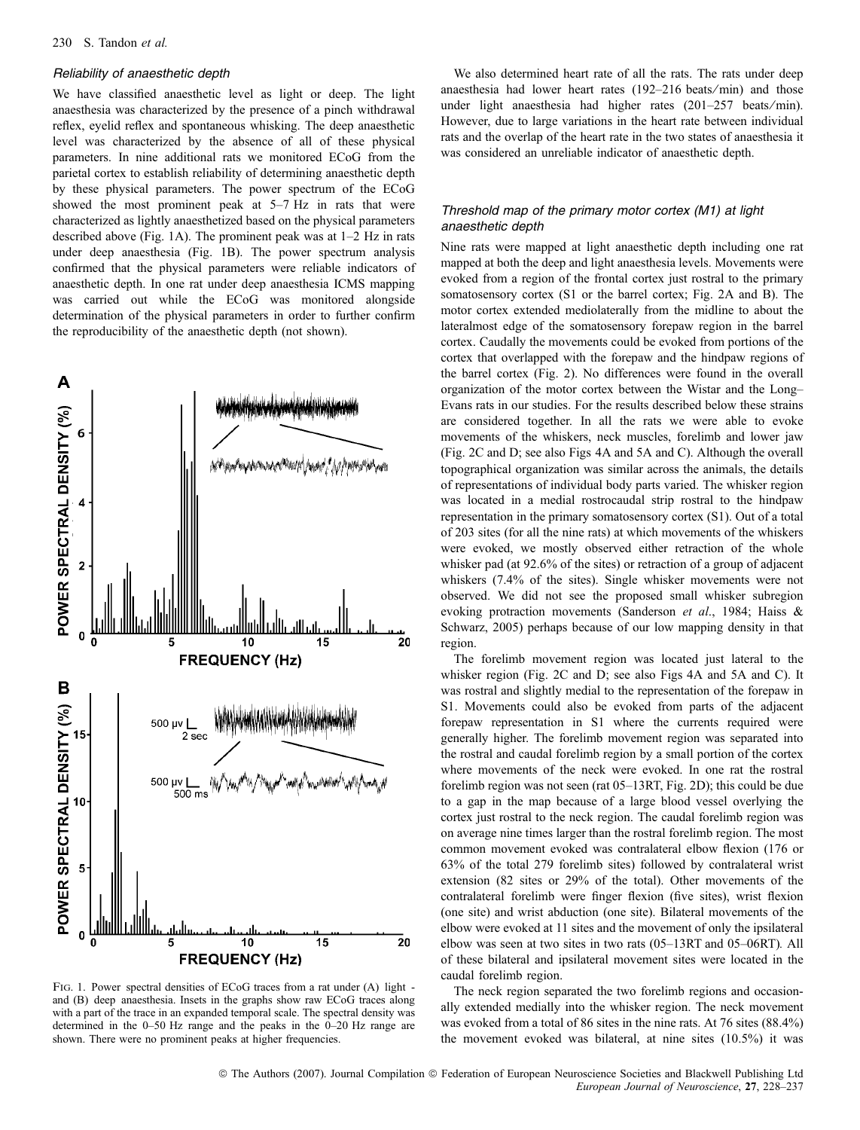## Reliability of anaesthetic depth

We have classified anaesthetic level as light or deep. The light anaesthesia was characterized by the presence of a pinch withdrawal reflex, eyelid reflex and spontaneous whisking. The deep anaesthetic level was characterized by the absence of all of these physical parameters. In nine additional rats we monitored ECoG from the parietal cortex to establish reliability of determining anaesthetic depth by these physical parameters. The power spectrum of the ECoG showed the most prominent peak at 5–7 Hz in rats that were characterized as lightly anaesthetized based on the physical parameters described above (Fig. 1A). The prominent peak was at 1–2 Hz in rats under deep anaesthesia (Fig. 1B). The power spectrum analysis confirmed that the physical parameters were reliable indicators of anaesthetic depth. In one rat under deep anaesthesia ICMS mapping was carried out while the ECoG was monitored alongside determination of the physical parameters in order to further confirm the reproducibility of the anaesthetic depth (not shown).



Fig. 1. Power spectral densities of ECoG traces from a rat under (A) light and (B) deep anaesthesia. Insets in the graphs show raw ECoG traces along with a part of the trace in an expanded temporal scale. The spectral density was determined in the 0–50 Hz range and the peaks in the 0–20 Hz range are shown. There were no prominent peaks at higher frequencies.

We also determined heart rate of all the rats. The rats under deep anaesthesia had lower heart rates (192–216 beats⁄ min) and those under light anaesthesia had higher rates (201–257 beats/min). However, due to large variations in the heart rate between individual rats and the overlap of the heart rate in the two states of anaesthesia it was considered an unreliable indicator of anaesthetic depth.

# Threshold map of the primary motor cortex (M1) at light anaesthetic depth

Nine rats were mapped at light anaesthetic depth including one rat mapped at both the deep and light anaesthesia levels. Movements were evoked from a region of the frontal cortex just rostral to the primary somatosensory cortex (S1 or the barrel cortex; Fig. 2A and B). The motor cortex extended mediolaterally from the midline to about the lateralmost edge of the somatosensory forepaw region in the barrel cortex. Caudally the movements could be evoked from portions of the cortex that overlapped with the forepaw and the hindpaw regions of the barrel cortex (Fig. 2). No differences were found in the overall organization of the motor cortex between the Wistar and the Long– Evans rats in our studies. For the results described below these strains are considered together. In all the rats we were able to evoke movements of the whiskers, neck muscles, forelimb and lower jaw (Fig. 2C and D; see also Figs 4A and 5A and C). Although the overall topographical organization was similar across the animals, the details of representations of individual body parts varied. The whisker region was located in a medial rostrocaudal strip rostral to the hindpaw representation in the primary somatosensory cortex (S1). Out of a total of 203 sites (for all the nine rats) at which movements of the whiskers were evoked, we mostly observed either retraction of the whole whisker pad (at 92.6% of the sites) or retraction of a group of adjacent whiskers (7.4% of the sites). Single whisker movements were not observed. We did not see the proposed small whisker subregion evoking protraction movements (Sanderson et al., 1984; Haiss & Schwarz, 2005) perhaps because of our low mapping density in that region.

The forelimb movement region was located just lateral to the whisker region (Fig. 2C and D; see also Figs 4A and 5A and C). It was rostral and slightly medial to the representation of the forepaw in S1. Movements could also be evoked from parts of the adjacent forepaw representation in S1 where the currents required were generally higher. The forelimb movement region was separated into the rostral and caudal forelimb region by a small portion of the cortex where movements of the neck were evoked. In one rat the rostral forelimb region was not seen (rat 05–13RT, Fig. 2D); this could be due to a gap in the map because of a large blood vessel overlying the cortex just rostral to the neck region. The caudal forelimb region was on average nine times larger than the rostral forelimb region. The most common movement evoked was contralateral elbow flexion (176 or 63% of the total 279 forelimb sites) followed by contralateral wrist extension (82 sites or 29% of the total). Other movements of the contralateral forelimb were finger flexion (five sites), wrist flexion (one site) and wrist abduction (one site). Bilateral movements of the elbow were evoked at 11 sites and the movement of only the ipsilateral elbow was seen at two sites in two rats (05–13RT and 05–06RT). All of these bilateral and ipsilateral movement sites were located in the caudal forelimb region.

The neck region separated the two forelimb regions and occasionally extended medially into the whisker region. The neck movement was evoked from a total of 86 sites in the nine rats. At 76 sites (88.4%) the movement evoked was bilateral, at nine sites (10.5%) it was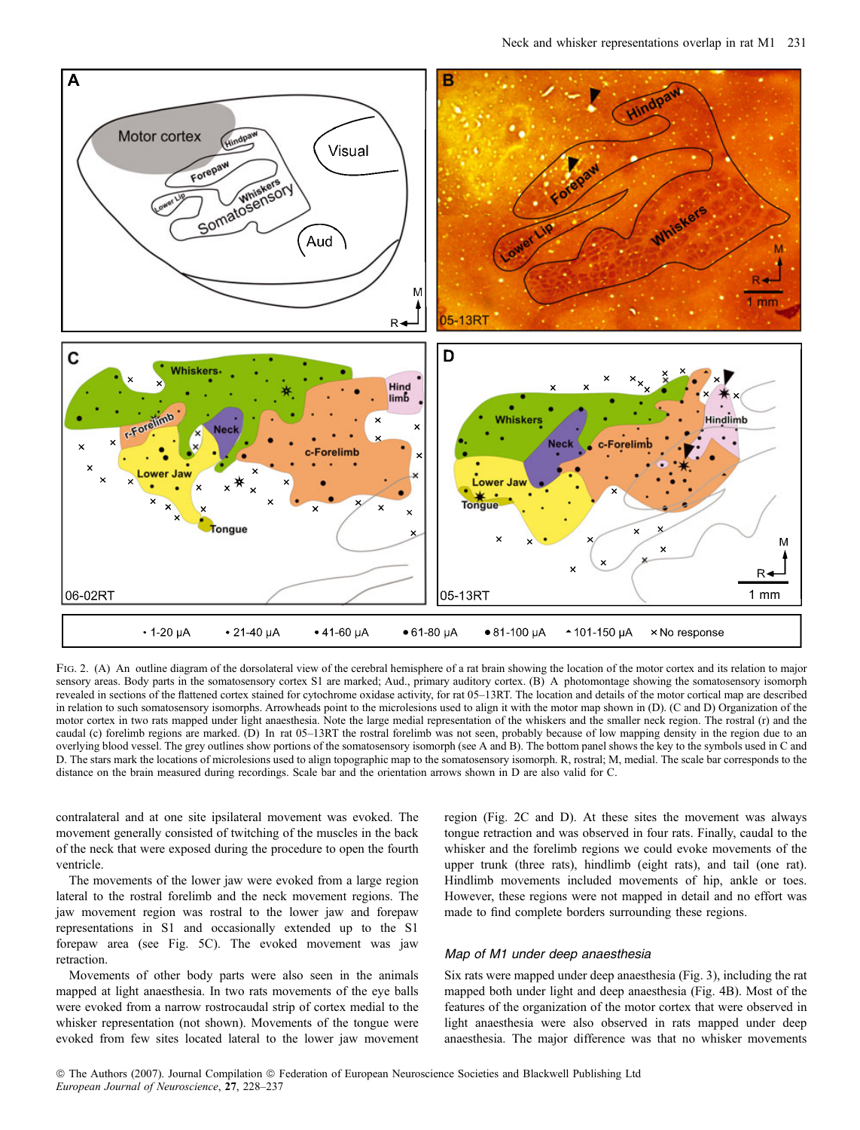

FIG. 2. (A) An outline diagram of the dorsolateral view of the cerebral hemisphere of a rat brain showing the location of the motor cortex and its relation to major sensory areas. Body parts in the somatosensory cortex S1 are marked; Aud., primary auditory cortex. (B) A photomontage showing the somatosensory isomorph revealed in sections of the flattened cortex stained for cytochrome oxidase activity, for rat 05–13RT. The location and details of the motor cortical map are described in relation to such somatosensory isomorphs. Arrowheads point to the microlesions used to align it with the motor map shown in (D). (C and D) Organization of the motor cortex in two rats mapped under light anaesthesia. Note the large medial representation of the whiskers and the smaller neck region. The rostral (r) and the caudal (c) forelimb regions are marked. (D) In rat 05–13RT the rostral forelimb was not seen, probably because of low mapping density in the region due to an overlying blood vessel. The grey outlines show portions of the somatosensory isomorph (see A and B). The bottom panel shows the key to the symbols used in C and D. The stars mark the locations of microlesions used to align topographic map to the somatosensory isomorph. R, rostral; M, medial. The scale bar corresponds to the distance on the brain measured during recordings. Scale bar and the orientation arrows shown in D are also valid for C.

contralateral and at one site ipsilateral movement was evoked. The movement generally consisted of twitching of the muscles in the back of the neck that were exposed during the procedure to open the fourth ventricle.

The movements of the lower jaw were evoked from a large region lateral to the rostral forelimb and the neck movement regions. The jaw movement region was rostral to the lower jaw and forepaw representations in S1 and occasionally extended up to the S1 forepaw area (see Fig. 5C). The evoked movement was jaw retraction.

Movements of other body parts were also seen in the animals mapped at light anaesthesia. In two rats movements of the eye balls were evoked from a narrow rostrocaudal strip of cortex medial to the whisker representation (not shown). Movements of the tongue were evoked from few sites located lateral to the lower jaw movement region (Fig. 2C and D). At these sites the movement was always tongue retraction and was observed in four rats. Finally, caudal to the whisker and the forelimb regions we could evoke movements of the upper trunk (three rats), hindlimb (eight rats), and tail (one rat). Hindlimb movements included movements of hip, ankle or toes. However, these regions were not mapped in detail and no effort was made to find complete borders surrounding these regions.

## Map of M1 under deep anaesthesia

Six rats were mapped under deep anaesthesia (Fig. 3), including the rat mapped both under light and deep anaesthesia (Fig. 4B). Most of the features of the organization of the motor cortex that were observed in light anaesthesia were also observed in rats mapped under deep anaesthesia. The major difference was that no whisker movements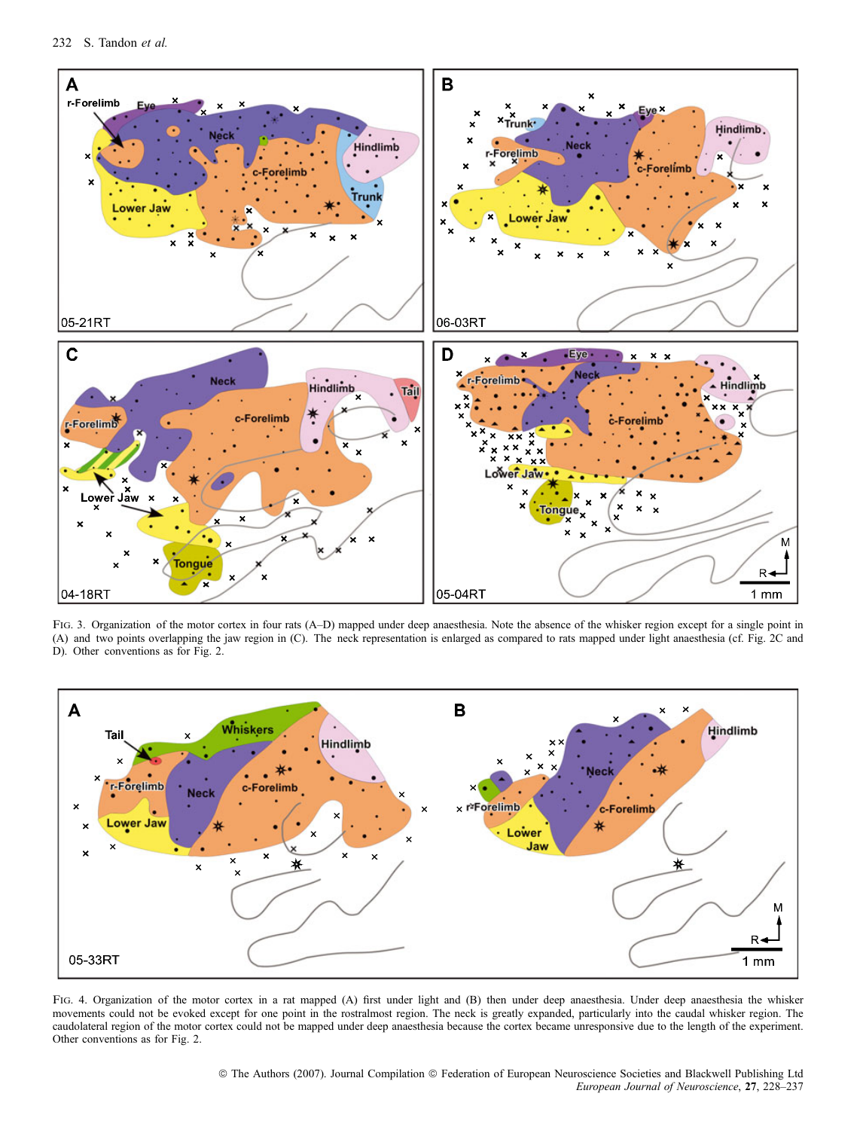

Fig. 3. Organization of the motor cortex in four rats (A–D) mapped under deep anaesthesia. Note the absence of the whisker region except for a single point in (A) and two points overlapping the jaw region in (C). The neck representation is enlarged as compared to rats mapped under light anaesthesia (cf. Fig. 2C and D). Other conventions as for Fig. 2.



FIG. 4. Organization of the motor cortex in a rat mapped (A) first under light and (B) then under deep anaesthesia. Under deep anaesthesia the whisker movements could not be evoked except for one point in the rostralmost region. The neck is greatly expanded, particularly into the caudal whisker region. The caudolateral region of the motor cortex could not be mapped under deep anaesthesia because the cortex became unresponsive due to the length of the experiment. Other conventions as for Fig. 2.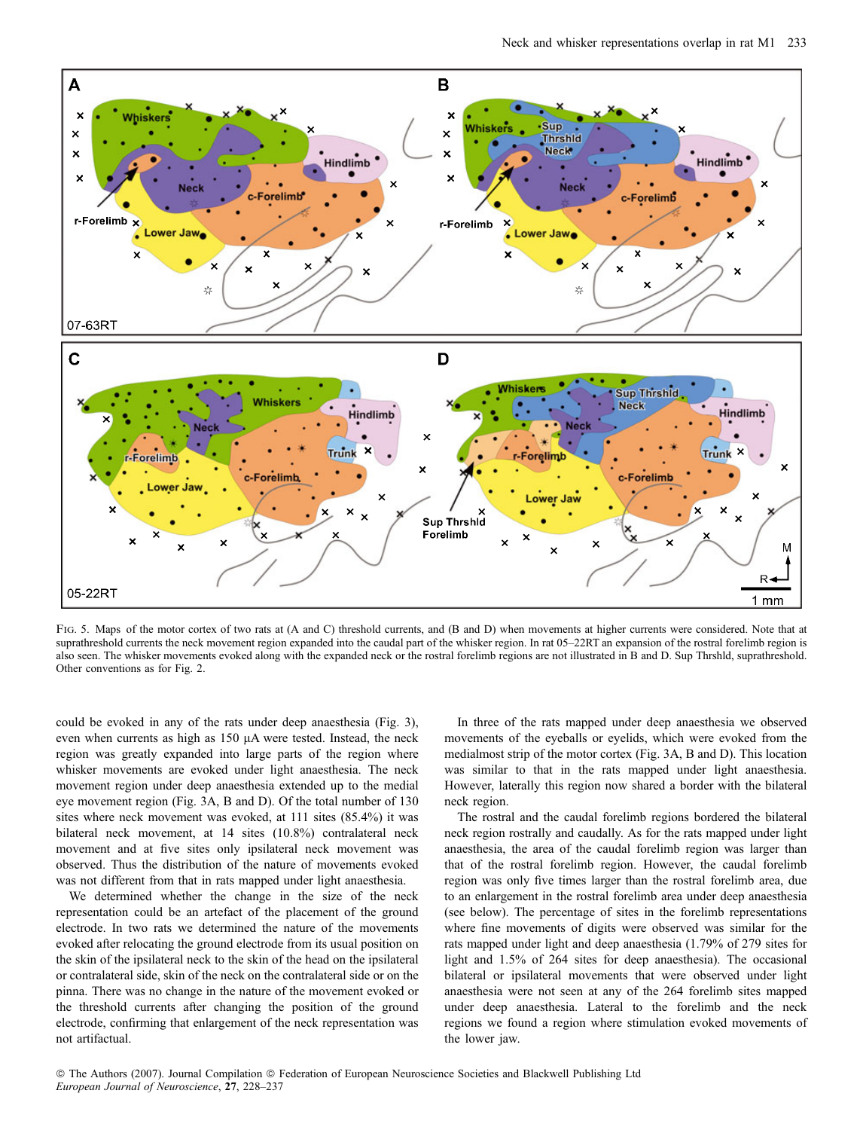

FIG. 5. Maps of the motor cortex of two rats at (A and C) threshold currents, and (B and D) when movements at higher currents were considered. Note that at suprathreshold currents the neck movement region expanded into the caudal part of the whisker region. In rat 05–22RT an expansion of the rostral forelimb region is also seen. The whisker movements evoked along with the expanded neck or the rostral forelimb regions are not illustrated in B and D. Sup Thrshld, suprathreshold. Other conventions as for Fig. 2.

could be evoked in any of the rats under deep anaesthesia (Fig. 3), even when currents as high as  $150 \mu A$  were tested. Instead, the neck region was greatly expanded into large parts of the region where whisker movements are evoked under light anaesthesia. The neck movement region under deep anaesthesia extended up to the medial eye movement region (Fig. 3A, B and D). Of the total number of 130 sites where neck movement was evoked, at 111 sites (85.4%) it was bilateral neck movement, at 14 sites (10.8%) contralateral neck movement and at five sites only ipsilateral neck movement was observed. Thus the distribution of the nature of movements evoked was not different from that in rats mapped under light anaesthesia.

We determined whether the change in the size of the neck representation could be an artefact of the placement of the ground electrode. In two rats we determined the nature of the movements evoked after relocating the ground electrode from its usual position on the skin of the ipsilateral neck to the skin of the head on the ipsilateral or contralateral side, skin of the neck on the contralateral side or on the pinna. There was no change in the nature of the movement evoked or the threshold currents after changing the position of the ground electrode, confirming that enlargement of the neck representation was not artifactual.

In three of the rats mapped under deep anaesthesia we observed movements of the eyeballs or eyelids, which were evoked from the medialmost strip of the motor cortex (Fig. 3A, B and D). This location was similar to that in the rats mapped under light anaesthesia. However, laterally this region now shared a border with the bilateral neck region.

The rostral and the caudal forelimb regions bordered the bilateral neck region rostrally and caudally. As for the rats mapped under light anaesthesia, the area of the caudal forelimb region was larger than that of the rostral forelimb region. However, the caudal forelimb region was only five times larger than the rostral forelimb area, due to an enlargement in the rostral forelimb area under deep anaesthesia (see below). The percentage of sites in the forelimb representations where fine movements of digits were observed was similar for the rats mapped under light and deep anaesthesia (1.79% of 279 sites for light and 1.5% of 264 sites for deep anaesthesia). The occasional bilateral or ipsilateral movements that were observed under light anaesthesia were not seen at any of the 264 forelimb sites mapped under deep anaesthesia. Lateral to the forelimb and the neck regions we found a region where stimulation evoked movements of the lower jaw.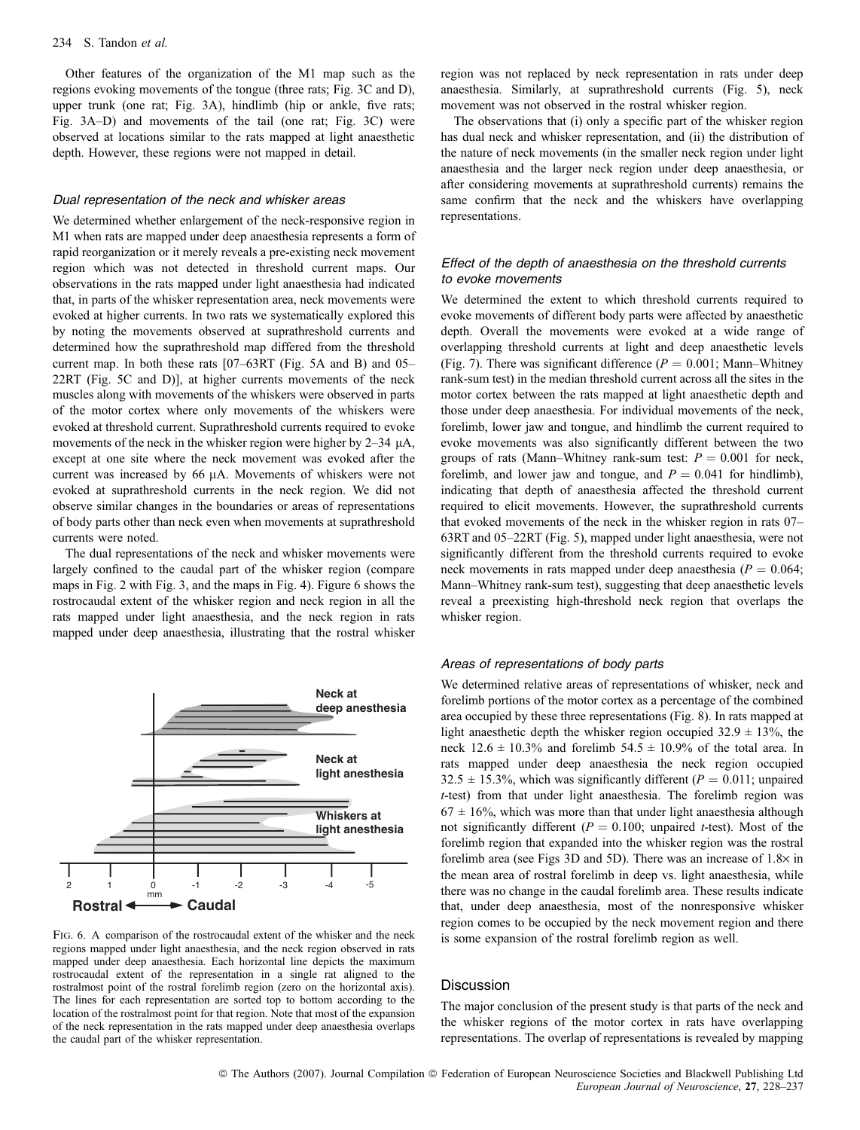Other features of the organization of the M1 map such as the regions evoking movements of the tongue (three rats; Fig. 3C and D), upper trunk (one rat; Fig. 3A), hindlimb (hip or ankle, five rats; Fig. 3A–D) and movements of the tail (one rat; Fig. 3C) were observed at locations similar to the rats mapped at light anaesthetic depth. However, these regions were not mapped in detail.

#### Dual representation of the neck and whisker areas

We determined whether enlargement of the neck-responsive region in M1 when rats are mapped under deep anaesthesia represents a form of rapid reorganization or it merely reveals a pre-existing neck movement region which was not detected in threshold current maps. Our observations in the rats mapped under light anaesthesia had indicated that, in parts of the whisker representation area, neck movements were evoked at higher currents. In two rats we systematically explored this by noting the movements observed at suprathreshold currents and determined how the suprathreshold map differed from the threshold current map. In both these rats [07–63RT (Fig. 5A and B) and 05– 22RT (Fig. 5C and D)], at higher currents movements of the neck muscles along with movements of the whiskers were observed in parts of the motor cortex where only movements of the whiskers were evoked at threshold current. Suprathreshold currents required to evoke movements of the neck in the whisker region were higher by  $2-34 \mu A$ , except at one site where the neck movement was evoked after the current was increased by 66  $\mu$ A. Movements of whiskers were not evoked at suprathreshold currents in the neck region. We did not observe similar changes in the boundaries or areas of representations of body parts other than neck even when movements at suprathreshold currents were noted.

The dual representations of the neck and whisker movements were largely confined to the caudal part of the whisker region (compare maps in Fig. 2 with Fig. 3, and the maps in Fig. 4). Figure 6 shows the rostrocaudal extent of the whisker region and neck region in all the rats mapped under light anaesthesia, and the neck region in rats mapped under deep anaesthesia, illustrating that the rostral whisker



Fig. 6. A comparison of the rostrocaudal extent of the whisker and the neck regions mapped under light anaesthesia, and the neck region observed in rats mapped under deep anaesthesia. Each horizontal line depicts the maximum rostrocaudal extent of the representation in a single rat aligned to the rostralmost point of the rostral forelimb region (zero on the horizontal axis). The lines for each representation are sorted top to bottom according to the location of the rostralmost point for that region. Note that most of the expansion of the neck representation in the rats mapped under deep anaesthesia overlaps the caudal part of the whisker representation.

region was not replaced by neck representation in rats under deep anaesthesia. Similarly, at suprathreshold currents (Fig. 5), neck movement was not observed in the rostral whisker region.

The observations that (i) only a specific part of the whisker region has dual neck and whisker representation, and (ii) the distribution of the nature of neck movements (in the smaller neck region under light anaesthesia and the larger neck region under deep anaesthesia, or after considering movements at suprathreshold currents) remains the same confirm that the neck and the whiskers have overlapping representations.

# Effect of the depth of anaesthesia on the threshold currents to evoke movements

We determined the extent to which threshold currents required to evoke movements of different body parts were affected by anaesthetic depth. Overall the movements were evoked at a wide range of overlapping threshold currents at light and deep anaesthetic levels (Fig. 7). There was significant difference ( $P = 0.001$ ; Mann–Whitney rank-sum test) in the median threshold current across all the sites in the motor cortex between the rats mapped at light anaesthetic depth and those under deep anaesthesia. For individual movements of the neck, forelimb, lower jaw and tongue, and hindlimb the current required to evoke movements was also significantly different between the two groups of rats (Mann–Whitney rank-sum test:  $P = 0.001$  for neck, forelimb, and lower jaw and tongue, and  $P = 0.041$  for hindlimb), indicating that depth of anaesthesia affected the threshold current required to elicit movements. However, the suprathreshold currents that evoked movements of the neck in the whisker region in rats 07– 63RT and 05–22RT (Fig. 5), mapped under light anaesthesia, were not significantly different from the threshold currents required to evoke neck movements in rats mapped under deep anaesthesia ( $P = 0.064$ ; Mann–Whitney rank-sum test), suggesting that deep anaesthetic levels reveal a preexisting high-threshold neck region that overlaps the whisker region.

# Areas of representations of body parts

We determined relative areas of representations of whisker, neck and forelimb portions of the motor cortex as a percentage of the combined area occupied by these three representations (Fig. 8). In rats mapped at light anaesthetic depth the whisker region occupied  $32.9 \pm 13\%$ , the neck  $12.6 \pm 10.3\%$  and forelimb  $54.5 \pm 10.9\%$  of the total area. In rats mapped under deep anaesthesia the neck region occupied 32.5  $\pm$  15.3%, which was significantly different ( $P = 0.011$ ; unpaired t-test) from that under light anaesthesia. The forelimb region was  $67 \pm 16$ %, which was more than that under light anaesthesia although not significantly different ( $P = 0.100$ ; unpaired t-test). Most of the forelimb region that expanded into the whisker region was the rostral forelimb area (see Figs 3D and 5D). There was an increase of  $1.8\times$  in the mean area of rostral forelimb in deep vs. light anaesthesia, while there was no change in the caudal forelimb area. These results indicate that, under deep anaesthesia, most of the nonresponsive whisker region comes to be occupied by the neck movement region and there is some expansion of the rostral forelimb region as well.

# **Discussion**

The major conclusion of the present study is that parts of the neck and the whisker regions of the motor cortex in rats have overlapping representations. The overlap of representations is revealed by mapping

© The Authors (2007). Journal Compilation © Federation of European Neuroscience Societies and Blackwell Publishing Ltd European Journal of Neuroscience, 27, 228–237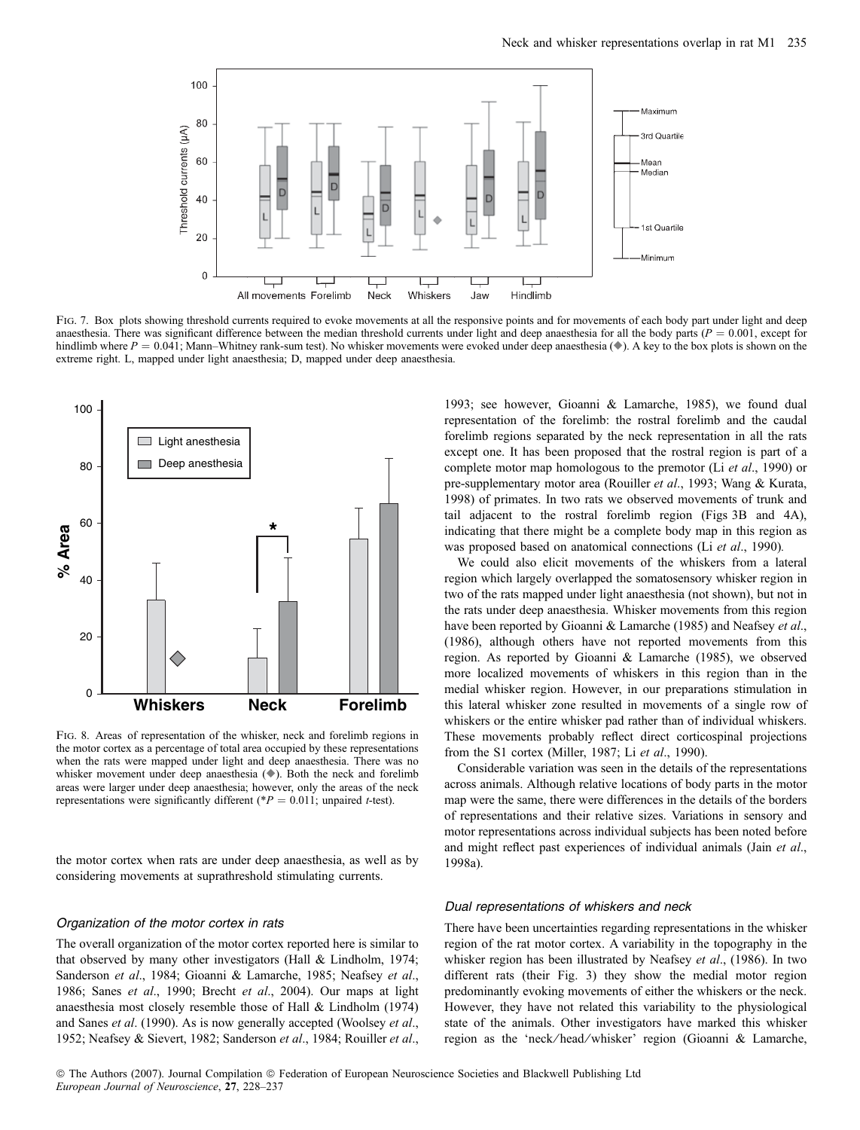

FIG. 7. Box plots showing threshold currents required to evoke movements at all the responsive points and for movements of each body part under light and deep anaesthesia. There was significant difference between the median threshold currents under light and deep anaesthesia for all the body parts ( $P = 0.001$ , except for hindlimb where  $P = 0.041$ ; Mann–Whitney rank-sum test). No whisker movements were evoked under deep anaesthesia ( $\bullet$ ). A key to the box plots is shown on the extreme right. L, mapped under light anaesthesia; D, mapped under deep anaesthesia.



Fig. 8. Areas of representation of the whisker, neck and forelimb regions in the motor cortex as a percentage of total area occupied by these representations when the rats were mapped under light and deep anaesthesia. There was no whisker movement under deep anaesthesia  $(\bullet)$ . Both the neck and forelimb areas were larger under deep anaesthesia; however, only the areas of the neck representations were significantly different (\* $P = 0.011$ ; unpaired t-test).

the motor cortex when rats are under deep anaesthesia, as well as by considering movements at suprathreshold stimulating currents.

#### Organization of the motor cortex in rats

The overall organization of the motor cortex reported here is similar to that observed by many other investigators (Hall & Lindholm, 1974; Sanderson et al., 1984; Gioanni & Lamarche, 1985; Neafsey et al., 1986; Sanes et al., 1990; Brecht et al., 2004). Our maps at light anaesthesia most closely resemble those of Hall & Lindholm (1974) and Sanes et al. (1990). As is now generally accepted (Woolsey et al., 1952; Neafsey & Sievert, 1982; Sanderson et al., 1984; Rouiller et al.,

1993; see however, Gioanni & Lamarche, 1985), we found dual representation of the forelimb: the rostral forelimb and the caudal forelimb regions separated by the neck representation in all the rats except one. It has been proposed that the rostral region is part of a complete motor map homologous to the premotor (Li et al., 1990) or pre-supplementary motor area (Rouiller et al., 1993; Wang & Kurata, 1998) of primates. In two rats we observed movements of trunk and tail adjacent to the rostral forelimb region (Figs 3B and 4A), indicating that there might be a complete body map in this region as was proposed based on anatomical connections (Li et al., 1990).

We could also elicit movements of the whiskers from a lateral region which largely overlapped the somatosensory whisker region in two of the rats mapped under light anaesthesia (not shown), but not in the rats under deep anaesthesia. Whisker movements from this region have been reported by Gioanni & Lamarche (1985) and Neafsey et al., (1986), although others have not reported movements from this region. As reported by Gioanni & Lamarche (1985), we observed more localized movements of whiskers in this region than in the medial whisker region. However, in our preparations stimulation in this lateral whisker zone resulted in movements of a single row of whiskers or the entire whisker pad rather than of individual whiskers. These movements probably reflect direct corticospinal projections from the S1 cortex (Miller, 1987; Li et al., 1990).

Considerable variation was seen in the details of the representations across animals. Although relative locations of body parts in the motor map were the same, there were differences in the details of the borders of representations and their relative sizes. Variations in sensory and motor representations across individual subjects has been noted before and might reflect past experiences of individual animals (Jain et al., 1998a).

#### Dual representations of whiskers and neck

There have been uncertainties regarding representations in the whisker region of the rat motor cortex. A variability in the topography in the whisker region has been illustrated by Neafsey et al., (1986). In two different rats (their Fig. 3) they show the medial motor region predominantly evoking movements of either the whiskers or the neck. However, they have not related this variability to the physiological state of the animals. Other investigators have marked this whisker region as the 'neck ⁄ head ⁄ whisker' region (Gioanni & Lamarche,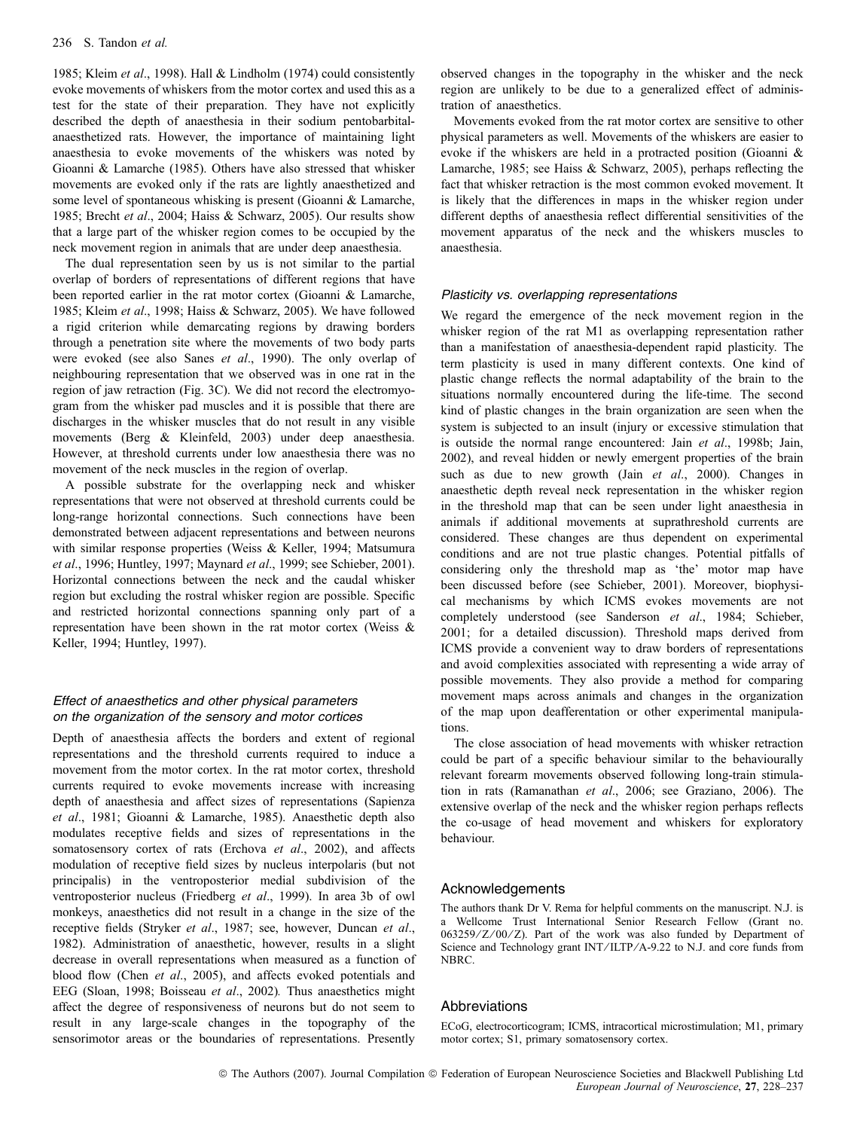1985; Kleim et al., 1998). Hall & Lindholm (1974) could consistently evoke movements of whiskers from the motor cortex and used this as a test for the state of their preparation. They have not explicitly described the depth of anaesthesia in their sodium pentobarbitalanaesthetized rats. However, the importance of maintaining light anaesthesia to evoke movements of the whiskers was noted by Gioanni & Lamarche (1985). Others have also stressed that whisker movements are evoked only if the rats are lightly anaesthetized and some level of spontaneous whisking is present (Gioanni & Lamarche, 1985; Brecht et al., 2004; Haiss & Schwarz, 2005). Our results show that a large part of the whisker region comes to be occupied by the neck movement region in animals that are under deep anaesthesia.

The dual representation seen by us is not similar to the partial overlap of borders of representations of different regions that have been reported earlier in the rat motor cortex (Gioanni & Lamarche, 1985; Kleim et al., 1998; Haiss & Schwarz, 2005). We have followed a rigid criterion while demarcating regions by drawing borders through a penetration site where the movements of two body parts were evoked (see also Sanes *et al.*, 1990). The only overlap of neighbouring representation that we observed was in one rat in the region of jaw retraction (Fig. 3C). We did not record the electromyogram from the whisker pad muscles and it is possible that there are discharges in the whisker muscles that do not result in any visible movements (Berg & Kleinfeld, 2003) under deep anaesthesia. However, at threshold currents under low anaesthesia there was no movement of the neck muscles in the region of overlap.

A possible substrate for the overlapping neck and whisker representations that were not observed at threshold currents could be long-range horizontal connections. Such connections have been demonstrated between adjacent representations and between neurons with similar response properties (Weiss & Keller, 1994; Matsumura et al., 1996; Huntley, 1997; Maynard et al., 1999; see Schieber, 2001). Horizontal connections between the neck and the caudal whisker region but excluding the rostral whisker region are possible. Specific and restricted horizontal connections spanning only part of a representation have been shown in the rat motor cortex (Weiss & Keller, 1994; Huntley, 1997).

# Effect of anaesthetics and other physical parameters on the organization of the sensory and motor cortices

Depth of anaesthesia affects the borders and extent of regional representations and the threshold currents required to induce a movement from the motor cortex. In the rat motor cortex, threshold currents required to evoke movements increase with increasing depth of anaesthesia and affect sizes of representations (Sapienza et al., 1981; Gioanni & Lamarche, 1985). Anaesthetic depth also modulates receptive fields and sizes of representations in the somatosensory cortex of rats (Erchova et al., 2002), and affects modulation of receptive field sizes by nucleus interpolaris (but not principalis) in the ventroposterior medial subdivision of the ventroposterior nucleus (Friedberg et al., 1999). In area 3b of owl monkeys, anaesthetics did not result in a change in the size of the receptive fields (Stryker et al., 1987; see, however, Duncan et al., 1982). Administration of anaesthetic, however, results in a slight decrease in overall representations when measured as a function of blood flow (Chen et al., 2005), and affects evoked potentials and EEG (Sloan, 1998; Boisseau et al., 2002). Thus anaesthetics might affect the degree of responsiveness of neurons but do not seem to result in any large-scale changes in the topography of the sensorimotor areas or the boundaries of representations. Presently

observed changes in the topography in the whisker and the neck region are unlikely to be due to a generalized effect of administration of anaesthetics.

Movements evoked from the rat motor cortex are sensitive to other physical parameters as well. Movements of the whiskers are easier to evoke if the whiskers are held in a protracted position (Gioanni & Lamarche, 1985; see Haiss & Schwarz, 2005), perhaps reflecting the fact that whisker retraction is the most common evoked movement. It is likely that the differences in maps in the whisker region under different depths of anaesthesia reflect differential sensitivities of the movement apparatus of the neck and the whiskers muscles to anaesthesia.

#### Plasticity vs. overlapping representations

We regard the emergence of the neck movement region in the whisker region of the rat M1 as overlapping representation rather than a manifestation of anaesthesia-dependent rapid plasticity. The term plasticity is used in many different contexts. One kind of plastic change reflects the normal adaptability of the brain to the situations normally encountered during the life-time. The second kind of plastic changes in the brain organization are seen when the system is subjected to an insult (injury or excessive stimulation that is outside the normal range encountered: Jain et al., 1998b; Jain, 2002), and reveal hidden or newly emergent properties of the brain such as due to new growth (Jain et al., 2000). Changes in anaesthetic depth reveal neck representation in the whisker region in the threshold map that can be seen under light anaesthesia in animals if additional movements at suprathreshold currents are considered. These changes are thus dependent on experimental conditions and are not true plastic changes. Potential pitfalls of considering only the threshold map as 'the' motor map have been discussed before (see Schieber, 2001). Moreover, biophysical mechanisms by which ICMS evokes movements are not completely understood (see Sanderson et al., 1984; Schieber, 2001; for a detailed discussion). Threshold maps derived from ICMS provide a convenient way to draw borders of representations and avoid complexities associated with representing a wide array of possible movements. They also provide a method for comparing movement maps across animals and changes in the organization of the map upon deafferentation or other experimental manipulations.

The close association of head movements with whisker retraction could be part of a specific behaviour similar to the behaviourally relevant forearm movements observed following long-train stimulation in rats (Ramanathan et al., 2006; see Graziano, 2006). The extensive overlap of the neck and the whisker region perhaps reflects the co-usage of head movement and whiskers for exploratory behaviour.

## Acknowledgements

The authors thank Dr V. Rema for helpful comments on the manuscript. N.J. is a Wellcome Trust International Senior Research Fellow (Grant no. 063259/Z/00/Z). Part of the work was also funded by Department of Science and Technology grant INT/ILTP/A-9.22 to N.J. and core funds from NBRC.

# Abbreviations

ECoG, electrocorticogram; ICMS, intracortical microstimulation; M1, primary motor cortex; S1, primary somatosensory cortex.